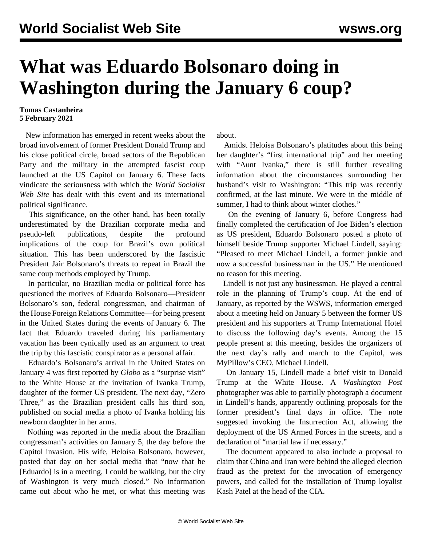## **What was Eduardo Bolsonaro doing in Washington during the January 6 coup?**

## **Tomas Castanheira 5 February 2021**

 New information has emerged in recent weeks about the broad involvement of former President Donald Trump and his close political circle, broad sectors of the Republican Party and the military in the attempted fascist coup launched at the US Capitol on January 6. These facts vindicate the seriousness with which the *World Socialist Web Site* has dealt with this event and its international political significance.

 This significance, on the other hand, has been totally underestimated by the Brazilian corporate media and pseudo-left publications, despite the profound implications of the coup for Brazil's own political situation. This has been underscored by the fascistic President Jair Bolsonaro's threats to repeat in Brazil the same coup methods employed by Trump.

 In particular, no Brazilian media or political force has questioned the motives of Eduardo Bolsonaro—President Bolsonaro's son, federal congressman, and chairman of the House Foreign Relations Committee—for being present in the United States during the events of January 6. The fact that Eduardo traveled during his parliamentary vacation has been cynically used as an argument to treat the trip by this fascistic conspirator as a personal affair.

 Eduardo's Bolsonaro's arrival in the United States on January 4 was first reported by *Globo* as a "surprise visit" to the White House at the invitation of Ivanka Trump, daughter of the former US president. The next day, "Zero Three," as the Brazilian president calls his third son, published on social media a photo of Ivanka holding his newborn daughter in her arms.

 Nothing was reported in the media about the Brazilian congressman's activities on January 5, the day before the Capitol invasion. His wife, Heloísa Bolsonaro, however, posted that day on her social media that "now that he [Eduardo] is in a meeting, I could be walking, but the city of Washington is very much closed." No information came out about who he met, or what this meeting was about.

 Amidst Heloísa Bolsonaro's platitudes about this being her daughter's "first international trip" and her meeting with "Aunt Ivanka," there is still further revealing information about the circumstances surrounding her husband's visit to Washington: "This trip was recently confirmed, at the last minute. We were in the middle of summer, I had to think about winter clothes."

 On the evening of January 6, before Congress had finally completed the certification of Joe Biden's election as US president, Eduardo Bolsonaro posted a photo of himself beside Trump supporter Michael Lindell, saying: "Pleased to meet Michael Lindell, a former junkie and now a successful businessman in the US." He mentioned no reason for this meeting.

 Lindell is not just any businessman. He played a central role in the planning of Trump's coup. At the end of January, as [reported](/en/articles/2021/01/28/pers-a01.html) by the WSWS, information emerged about a meeting held on January 5 between the former US president and his supporters at Trump International Hotel to discuss the following day's events. Among the 15 people present at this meeting, besides the organizers of the next day's rally and march to the Capitol, was MyPillow's CEO, Michael Lindell.

 On January 15, Lindell made a brief visit to Donald Trump at the White House. A *Washington Post* photographer was able to partially photograph a document in Lindell's hands, apparently outlining proposals for the former president's final days in office. The note suggested invoking the Insurrection Act, allowing the deployment of the US Armed Forces in the streets, and a declaration of "martial law if necessary."

 The document appeared to also include a proposal to claim that China and Iran were behind the alleged election fraud as the pretext for the invocation of emergency powers, and called for the installation of Trump loyalist Kash Patel at the head of the CIA.